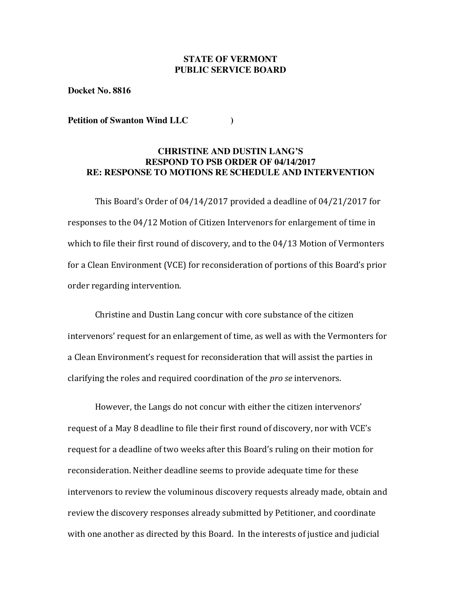## **STATE OF VERMONT PUBLIC SERVICE BOARD**

**Docket No. 8816**

**Petition of Swanton Wind LLC )**

## **CHRISTINE AND DUSTIN LANG'S RESPOND TO PSB ORDER OF 04/14/2017 RE: RESPONSE TO MOTIONS RE SCHEDULE AND INTERVENTION**

This Board's Order of  $04/14/2017$  provided a deadline of  $04/21/2017$  for responses to the  $04/12$  Motion of Citizen Intervenors for enlargement of time in which to file their first round of discovery, and to the  $04/13$  Motion of Vermonters for a Clean Environment (VCE) for reconsideration of portions of this Board's prior order regarding intervention.

Christine and Dustin Lang concur with core substance of the citizen intervenors' request for an enlargement of time, as well as with the Vermonters for a Clean Environment's request for reconsideration that will assist the parties in clarifying the roles and required coordination of the *pro se* intervenors.

However, the Langs do not concur with either the citizen intervenors' request of a May 8 deadline to file their first round of discovery, nor with VCE's request for a deadline of two weeks after this Board's ruling on their motion for reconsideration. Neither deadline seems to provide adequate time for these intervenors to review the voluminous discovery requests already made, obtain and review the discovery responses already submitted by Petitioner, and coordinate with one another as directed by this Board. In the interests of justice and judicial